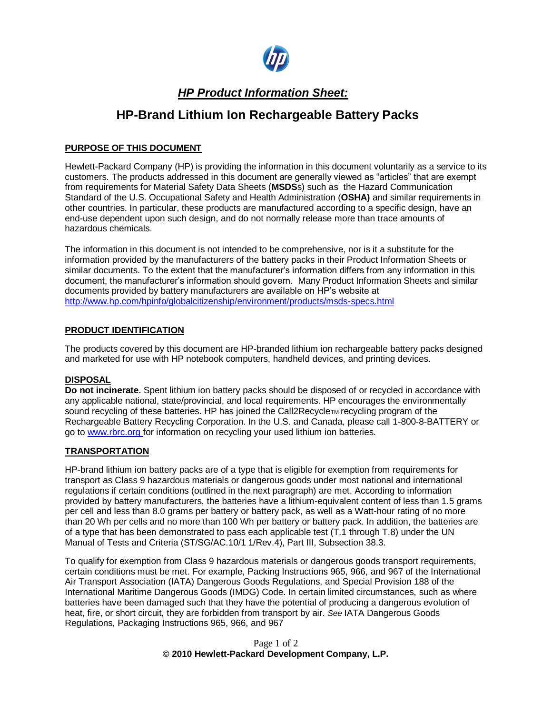

## *HP Product Information Sheet:*

# **HP-Brand Lithium Ion Rechargeable Battery Packs**

#### **PURPOSE OF THIS DOCUMENT**

Hewlett-Packard Company (HP) is providing the information in this document voluntarily as a service to its customers. The products addressed in this document are generally viewed as "articles" that are exempt from requirements for Material Safety Data Sheets (**MSDS**s) such as the Hazard Communication Standard of the U.S. Occupational Safety and Health Administration (**OSHA)** and similar requirements in other countries. In particular, these products are manufactured according to a specific design, have an end-use dependent upon such design, and do not normally release more than trace amounts of hazardous chemicals.

The information in this document is not intended to be comprehensive, nor is it a substitute for the information provided by the manufacturers of the battery packs in their Product Information Sheets or similar documents. To the extent that the manufacturer's information differs from any information in this document, the manufacturer's information should govern. Many Product Information Sheets and similar documents provided by battery manufacturers are available on HP's website at <http://www.hp.com/hpinfo/globalcitizenship/environment/products/msds-specs.html>

#### **PRODUCT IDENTIFICATION**

The products covered by this document are HP-branded lithium ion rechargeable battery packs designed and marketed for use with HP notebook computers, handheld devices, and printing devices.

#### **DISPOSAL**

**Do not incinerate.** Spent lithium ion battery packs should be disposed of or recycled in accordance with any applicable national, state/provincial, and local requirements. HP encourages the environmentally sound recycling of these batteries. HP has joined the Call2Recycle<sub>TM</sub> recycling program of the Rechargeable Battery Recycling Corporation. In the U.S. and Canada, please call 1-800-8-BATTERY or go to www.rbrc.org for information on recycling your used lithium ion batteries.

#### **TRANSPORTATION**

HP-brand lithium ion battery packs are of a type that is eligible for exemption from requirements for transport as Class 9 hazardous materials or dangerous goods under most national and international regulations if certain conditions (outlined in the next paragraph) are met. According to information provided by battery manufacturers, the batteries have a lithium-equivalent content of less than 1.5 grams per cell and less than 8.0 grams per battery or battery pack, as well as a Watt-hour rating of no more than 20 Wh per cells and no more than 100 Wh per battery or battery pack. In addition, the batteries are of a type that has been demonstrated to pass each applicable test (T.1 through T.8) under the UN Manual of Tests and Criteria (ST/SG/AC.10/1 1/Rev.4), Part III, Subsection 38.3.

To qualify for exemption from Class 9 hazardous materials or dangerous goods transport requirements, certain conditions must be met. For example, Packing Instructions 965, 966, and 967 of the International Air Transport Association (IATA) Dangerous Goods Regulations, and Special Provision 188 of the International Maritime Dangerous Goods (IMDG) Code. In certain limited circumstances, such as where batteries have been damaged such that they have the potential of producing a dangerous evolution of heat, fire, or short circuit, they are forbidden from transport by air. *See* IATA Dangerous Goods Regulations, Packaging Instructions 965, 966, and 967